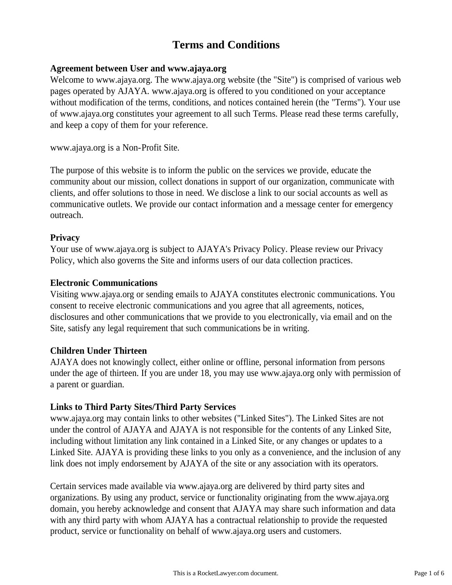# **Terms and Conditions**

#### **Agreement between User and www.ajaya.org**

Welcome to www.ajaya.org. The www.ajaya.org website (the "Site") is comprised of various web pages operated by AJAYA. www.ajaya.org is offered to you conditioned on your acceptance without modification of the terms, conditions, and notices contained herein (the "Terms"). Your use of www.ajaya.org constitutes your agreement to all such Terms. Please read these terms carefully, and keep a copy of them for your reference.

www.ajaya.org is a Non-Profit Site.

The purpose of this website is to inform the public on the services we provide, educate the community about our mission, collect donations in support of our organization, communicate with clients, and offer solutions to those in need. We disclose a link to our social accounts as well as communicative outlets. We provide our contact information and a message center for emergency outreach.

## **Privacy**

Your use of www.ajaya.org is subject to AJAYA's Privacy Policy. Please review our Privacy Policy, which also governs the Site and informs users of our data collection practices.

## **Electronic Communications**

Visiting www.ajaya.org or sending emails to AJAYA constitutes electronic communications. You consent to receive electronic communications and you agree that all agreements, notices, disclosures and other communications that we provide to you electronically, via email and on the Site, satisfy any legal requirement that such communications be in writing.

# **Children Under Thirteen**

AJAYA does not knowingly collect, either online or offline, personal information from persons under the age of thirteen. If you are under 18, you may use www.ajaya.org only with permission of a parent or guardian.

# **Links to Third Party Sites/Third Party Services**

www.ajaya.org may contain links to other websites ("Linked Sites"). The Linked Sites are not under the control of AJAYA and AJAYA is not responsible for the contents of any Linked Site, including without limitation any link contained in a Linked Site, or any changes or updates to a Linked Site. AJAYA is providing these links to you only as a convenience, and the inclusion of any link does not imply endorsement by AJAYA of the site or any association with its operators.

Certain services made available via www.ajaya.org are delivered by third party sites and organizations. By using any product, service or functionality originating from the www.ajaya.org domain, you hereby acknowledge and consent that AJAYA may share such information and data with any third party with whom AJAYA has a contractual relationship to provide the requested product, service or functionality on behalf of www.ajaya.org users and customers.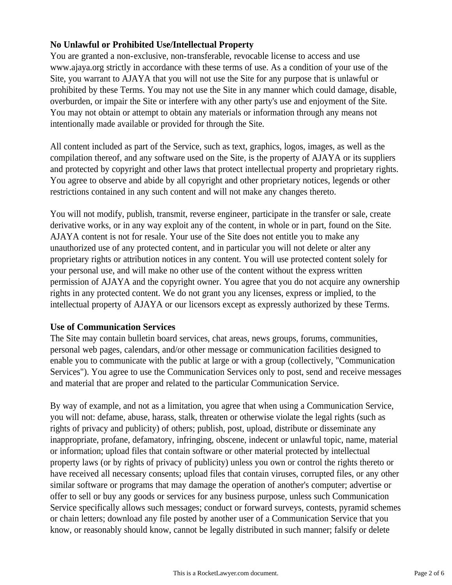# **No Unlawful or Prohibited Use/Intellectual Property**

You are granted a non-exclusive, non-transferable, revocable license to access and use www.ajaya.org strictly in accordance with these terms of use. As a condition of your use of the Site, you warrant to AJAYA that you will not use the Site for any purpose that is unlawful or prohibited by these Terms. You may not use the Site in any manner which could damage, disable, overburden, or impair the Site or interfere with any other party's use and enjoyment of the Site. You may not obtain or attempt to obtain any materials or information through any means not intentionally made available or provided for through the Site.

All content included as part of the Service, such as text, graphics, logos, images, as well as the compilation thereof, and any software used on the Site, is the property of AJAYA or its suppliers and protected by copyright and other laws that protect intellectual property and proprietary rights. You agree to observe and abide by all copyright and other proprietary notices, legends or other restrictions contained in any such content and will not make any changes thereto.

You will not modify, publish, transmit, reverse engineer, participate in the transfer or sale, create derivative works, or in any way exploit any of the content, in whole or in part, found on the Site. AJAYA content is not for resale. Your use of the Site does not entitle you to make any unauthorized use of any protected content, and in particular you will not delete or alter any proprietary rights or attribution notices in any content. You will use protected content solely for your personal use, and will make no other use of the content without the express written permission of AJAYA and the copyright owner. You agree that you do not acquire any ownership rights in any protected content. We do not grant you any licenses, express or implied, to the intellectual property of AJAYA or our licensors except as expressly authorized by these Terms.

#### **Use of Communication Services**

The Site may contain bulletin board services, chat areas, news groups, forums, communities, personal web pages, calendars, and/or other message or communication facilities designed to enable you to communicate with the public at large or with a group (collectively, "Communication Services"). You agree to use the Communication Services only to post, send and receive messages and material that are proper and related to the particular Communication Service.

By way of example, and not as a limitation, you agree that when using a Communication Service, you will not: defame, abuse, harass, stalk, threaten or otherwise violate the legal rights (such as rights of privacy and publicity) of others; publish, post, upload, distribute or disseminate any inappropriate, profane, defamatory, infringing, obscene, indecent or unlawful topic, name, material or information; upload files that contain software or other material protected by intellectual property laws (or by rights of privacy of publicity) unless you own or control the rights thereto or have received all necessary consents; upload files that contain viruses, corrupted files, or any other similar software or programs that may damage the operation of another's computer; advertise or offer to sell or buy any goods or services for any business purpose, unless such Communication Service specifically allows such messages; conduct or forward surveys, contests, pyramid schemes or chain letters; download any file posted by another user of a Communication Service that you know, or reasonably should know, cannot be legally distributed in such manner; falsify or delete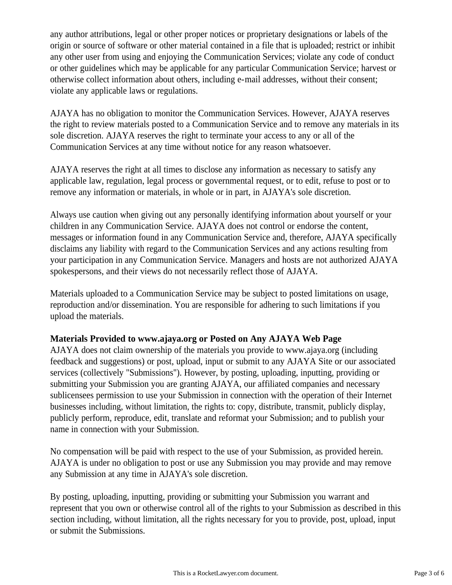any author attributions, legal or other proper notices or proprietary designations or labels of the origin or source of software or other material contained in a file that is uploaded; restrict or inhibit any other user from using and enjoying the Communication Services; violate any code of conduct or other guidelines which may be applicable for any particular Communication Service; harvest or otherwise collect information about others, including e-mail addresses, without their consent; violate any applicable laws or regulations.

AJAYA has no obligation to monitor the Communication Services. However, AJAYA reserves the right to review materials posted to a Communication Service and to remove any materials in its sole discretion. AJAYA reserves the right to terminate your access to any or all of the Communication Services at any time without notice for any reason whatsoever.

AJAYA reserves the right at all times to disclose any information as necessary to satisfy any applicable law, regulation, legal process or governmental request, or to edit, refuse to post or to remove any information or materials, in whole or in part, in AJAYA's sole discretion.

Always use caution when giving out any personally identifying information about yourself or your children in any Communication Service. AJAYA does not control or endorse the content, messages or information found in any Communication Service and, therefore, AJAYA specifically disclaims any liability with regard to the Communication Services and any actions resulting from your participation in any Communication Service. Managers and hosts are not authorized AJAYA spokespersons, and their views do not necessarily reflect those of AJAYA.

Materials uploaded to a Communication Service may be subject to posted limitations on usage, reproduction and/or dissemination. You are responsible for adhering to such limitations if you upload the materials.

# **Materials Provided to www.ajaya.org or Posted on Any AJAYA Web Page**

AJAYA does not claim ownership of the materials you provide to www.ajaya.org (including feedback and suggestions) or post, upload, input or submit to any AJAYA Site or our associated services (collectively "Submissions"). However, by posting, uploading, inputting, providing or submitting your Submission you are granting AJAYA, our affiliated companies and necessary sublicensees permission to use your Submission in connection with the operation of their Internet businesses including, without limitation, the rights to: copy, distribute, transmit, publicly display, publicly perform, reproduce, edit, translate and reformat your Submission; and to publish your name in connection with your Submission.

No compensation will be paid with respect to the use of your Submission, as provided herein. AJAYA is under no obligation to post or use any Submission you may provide and may remove any Submission at any time in AJAYA's sole discretion.

By posting, uploading, inputting, providing or submitting your Submission you warrant and represent that you own or otherwise control all of the rights to your Submission as described in this section including, without limitation, all the rights necessary for you to provide, post, upload, input or submit the Submissions.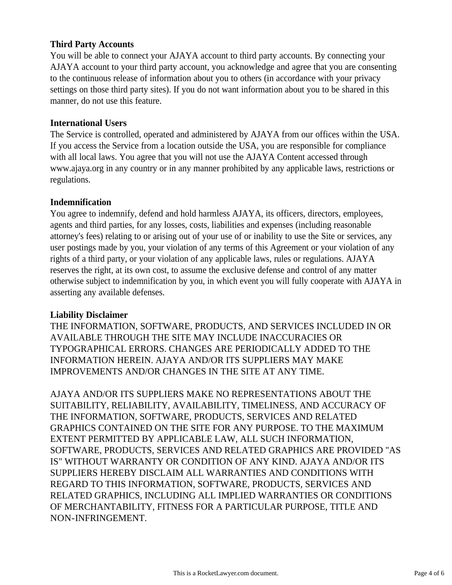## **Third Party Accounts**

You will be able to connect your AJAYA account to third party accounts. By connecting your AJAYA account to your third party account, you acknowledge and agree that you are consenting to the continuous release of information about you to others (in accordance with your privacy settings on those third party sites). If you do not want information about you to be shared in this manner, do not use this feature.

#### **International Users**

The Service is controlled, operated and administered by AJAYA from our offices within the USA. If you access the Service from a location outside the USA, you are responsible for compliance with all local laws. You agree that you will not use the AJAYA Content accessed through www.ajaya.org in any country or in any manner prohibited by any applicable laws, restrictions or regulations.

## **Indemnification**

You agree to indemnify, defend and hold harmless AJAYA, its officers, directors, employees, agents and third parties, for any losses, costs, liabilities and expenses (including reasonable attorney's fees) relating to or arising out of your use of or inability to use the Site or services, any user postings made by you, your violation of any terms of this Agreement or your violation of any rights of a third party, or your violation of any applicable laws, rules or regulations. AJAYA reserves the right, at its own cost, to assume the exclusive defense and control of any matter otherwise subject to indemnification by you, in which event you will fully cooperate with AJAYA in asserting any available defenses.

#### **Liability Disclaimer**

THE INFORMATION, SOFTWARE, PRODUCTS, AND SERVICES INCLUDED IN OR AVAILABLE THROUGH THE SITE MAY INCLUDE INACCURACIES OR TYPOGRAPHICAL ERRORS. CHANGES ARE PERIODICALLY ADDED TO THE INFORMATION HEREIN. AJAYA AND/OR ITS SUPPLIERS MAY MAKE IMPROVEMENTS AND/OR CHANGES IN THE SITE AT ANY TIME.

AJAYA AND/OR ITS SUPPLIERS MAKE NO REPRESENTATIONS ABOUT THE SUITABILITY, RELIABILITY, AVAILABILITY, TIMELINESS, AND ACCURACY OF THE INFORMATION, SOFTWARE, PRODUCTS, SERVICES AND RELATED GRAPHICS CONTAINED ON THE SITE FOR ANY PURPOSE. TO THE MAXIMUM EXTENT PERMITTED BY APPLICABLE LAW, ALL SUCH INFORMATION, SOFTWARE, PRODUCTS, SERVICES AND RELATED GRAPHICS ARE PROVIDED "AS IS" WITHOUT WARRANTY OR CONDITION OF ANY KIND. AJAYA AND/OR ITS SUPPLIERS HEREBY DISCLAIM ALL WARRANTIES AND CONDITIONS WITH REGARD TO THIS INFORMATION, SOFTWARE, PRODUCTS, SERVICES AND RELATED GRAPHICS, INCLUDING ALL IMPLIED WARRANTIES OR CONDITIONS OF MERCHANTABILITY, FITNESS FOR A PARTICULAR PURPOSE, TITLE AND NON-INFRINGEMENT.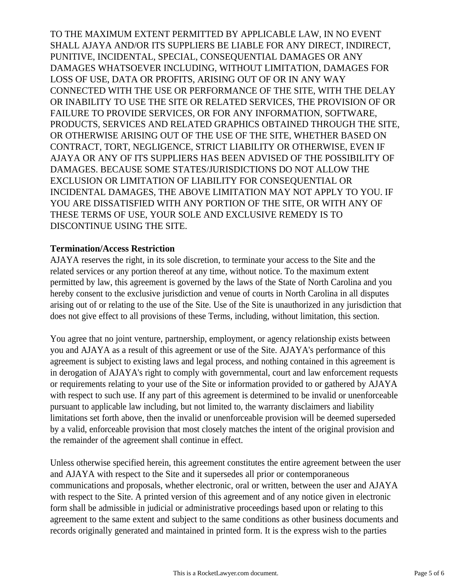TO THE MAXIMUM EXTENT PERMITTED BY APPLICABLE LAW, IN NO EVENT SHALL AJAYA AND/OR ITS SUPPLIERS BE LIABLE FOR ANY DIRECT, INDIRECT, PUNITIVE, INCIDENTAL, SPECIAL, CONSEQUENTIAL DAMAGES OR ANY DAMAGES WHATSOEVER INCLUDING, WITHOUT LIMITATION, DAMAGES FOR LOSS OF USE, DATA OR PROFITS, ARISING OUT OF OR IN ANY WAY CONNECTED WITH THE USE OR PERFORMANCE OF THE SITE, WITH THE DELAY OR INABILITY TO USE THE SITE OR RELATED SERVICES, THE PROVISION OF OR FAILURE TO PROVIDE SERVICES, OR FOR ANY INFORMATION, SOFTWARE, PRODUCTS, SERVICES AND RELATED GRAPHICS OBTAINED THROUGH THE SITE, OR OTHERWISE ARISING OUT OF THE USE OF THE SITE, WHETHER BASED ON CONTRACT, TORT, NEGLIGENCE, STRICT LIABILITY OR OTHERWISE, EVEN IF AJAYA OR ANY OF ITS SUPPLIERS HAS BEEN ADVISED OF THE POSSIBILITY OF DAMAGES. BECAUSE SOME STATES/JURISDICTIONS DO NOT ALLOW THE EXCLUSION OR LIMITATION OF LIABILITY FOR CONSEQUENTIAL OR INCIDENTAL DAMAGES, THE ABOVE LIMITATION MAY NOT APPLY TO YOU. IF YOU ARE DISSATISFIED WITH ANY PORTION OF THE SITE, OR WITH ANY OF THESE TERMS OF USE, YOUR SOLE AND EXCLUSIVE REMEDY IS TO DISCONTINUE USING THE SITE.

#### **Termination/Access Restriction**

AJAYA reserves the right, in its sole discretion, to terminate your access to the Site and the related services or any portion thereof at any time, without notice. To the maximum extent permitted by law, this agreement is governed by the laws of the State of North Carolina and you hereby consent to the exclusive jurisdiction and venue of courts in North Carolina in all disputes arising out of or relating to the use of the Site. Use of the Site is unauthorized in any jurisdiction that does not give effect to all provisions of these Terms, including, without limitation, this section.

You agree that no joint venture, partnership, employment, or agency relationship exists between you and AJAYA as a result of this agreement or use of the Site. AJAYA's performance of this agreement is subject to existing laws and legal process, and nothing contained in this agreement is in derogation of AJAYA's right to comply with governmental, court and law enforcement requests or requirements relating to your use of the Site or information provided to or gathered by AJAYA with respect to such use. If any part of this agreement is determined to be invalid or unenforceable pursuant to applicable law including, but not limited to, the warranty disclaimers and liability limitations set forth above, then the invalid or unenforceable provision will be deemed superseded by a valid, enforceable provision that most closely matches the intent of the original provision and the remainder of the agreement shall continue in effect.

Unless otherwise specified herein, this agreement constitutes the entire agreement between the user and AJAYA with respect to the Site and it supersedes all prior or contemporaneous communications and proposals, whether electronic, oral or written, between the user and AJAYA with respect to the Site. A printed version of this agreement and of any notice given in electronic form shall be admissible in judicial or administrative proceedings based upon or relating to this agreement to the same extent and subject to the same conditions as other business documents and records originally generated and maintained in printed form. It is the express wish to the parties